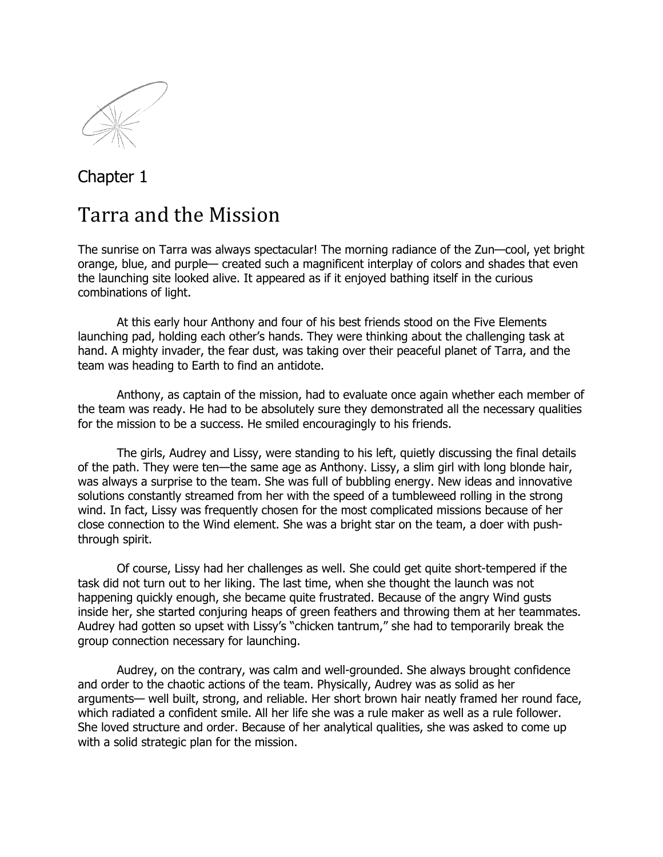

## Chapter 1

## Tarra and the Mission

The sunrise on Tarra was always spectacular! The morning radiance of the Zun—cool, yet bright orange, blue, and purple— created such a magnificent interplay of colors and shades that even the launching site looked alive. It appeared as if it enjoyed bathing itself in the curious combinations of light.

At this early hour Anthony and four of his best friends stood on the Five Elements launching pad, holding each other's hands. They were thinking about the challenging task at hand. A mighty invader, the fear dust, was taking over their peaceful planet of Tarra, and the team was heading to Earth to find an antidote.

Anthony, as captain of the mission, had to evaluate once again whether each member of the team was ready. He had to be absolutely sure they demonstrated all the necessary qualities for the mission to be a success. He smiled encouragingly to his friends.

The girls, Audrey and Lissy, were standing to his left, quietly discussing the final details of the path. They were ten—the same age as Anthony. Lissy, a slim girl with long blonde hair, was always a surprise to the team. She was full of bubbling energy. New ideas and innovative solutions constantly streamed from her with the speed of a tumbleweed rolling in the strong wind. In fact, Lissy was frequently chosen for the most complicated missions because of her close connection to the Wind element. She was a bright star on the team, a doer with pushthrough spirit.

Of course, Lissy had her challenges as well. She could get quite short-tempered if the task did not turn out to her liking. The last time, when she thought the launch was not happening quickly enough, she became quite frustrated. Because of the angry Wind gusts inside her, she started conjuring heaps of green feathers and throwing them at her teammates. Audrey had gotten so upset with Lissy's "chicken tantrum," she had to temporarily break the group connection necessary for launching.

Audrey, on the contrary, was calm and well-grounded. She always brought confidence and order to the chaotic actions of the team. Physically, Audrey was as solid as her arguments— well built, strong, and reliable. Her short brown hair neatly framed her round face, which radiated a confident smile. All her life she was a rule maker as well as a rule follower. She loved structure and order. Because of her analytical qualities, she was asked to come up with a solid strategic plan for the mission.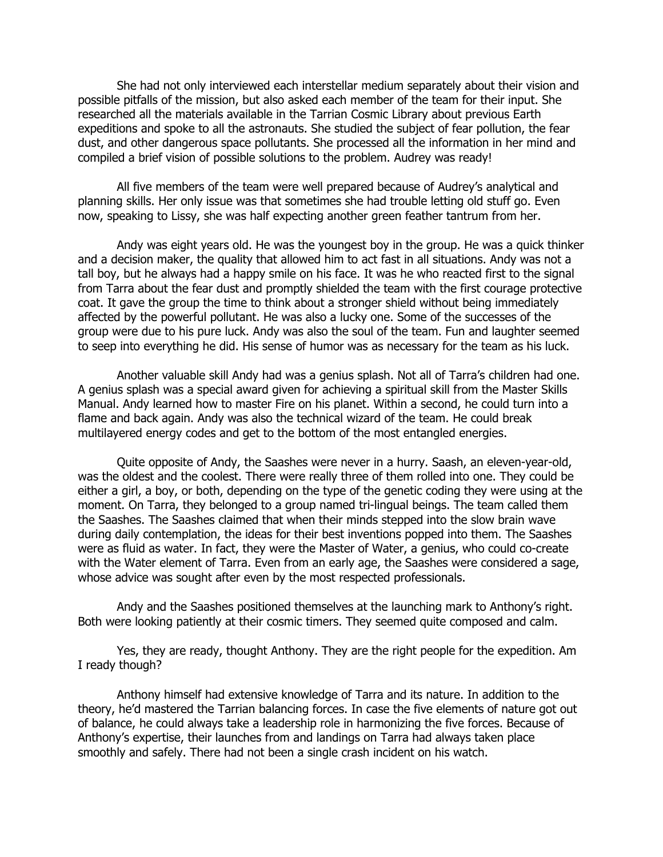She had not only interviewed each interstellar medium separately about their vision and possible pitfalls of the mission, but also asked each member of the team for their input. She researched all the materials available in the Tarrian Cosmic Library about previous Earth expeditions and spoke to all the astronauts. She studied the subject of fear pollution, the fear dust, and other dangerous space pollutants. She processed all the information in her mind and compiled a brief vision of possible solutions to the problem. Audrey was ready!

All five members of the team were well prepared because of Audrey's analytical and planning skills. Her only issue was that sometimes she had trouble letting old stuff go. Even now, speaking to Lissy, she was half expecting another green feather tantrum from her.

Andy was eight years old. He was the youngest boy in the group. He was a quick thinker and a decision maker, the quality that allowed him to act fast in all situations. Andy was not a tall boy, but he always had a happy smile on his face. It was he who reacted first to the signal from Tarra about the fear dust and promptly shielded the team with the first courage protective coat. It gave the group the time to think about a stronger shield without being immediately affected by the powerful pollutant. He was also a lucky one. Some of the successes of the group were due to his pure luck. Andy was also the soul of the team. Fun and laughter seemed to seep into everything he did. His sense of humor was as necessary for the team as his luck.

Another valuable skill Andy had was a genius splash. Not all of Tarra's children had one. A genius splash was a special award given for achieving a spiritual skill from the Master Skills Manual. Andy learned how to master Fire on his planet. Within a second, he could turn into a flame and back again. Andy was also the technical wizard of the team. He could break multilayered energy codes and get to the bottom of the most entangled energies.

Quite opposite of Andy, the Saashes were never in a hurry. Saash, an eleven-year-old, was the oldest and the coolest. There were really three of them rolled into one. They could be either a girl, a boy, or both, depending on the type of the genetic coding they were using at the moment. On Tarra, they belonged to a group named tri-lingual beings. The team called them the Saashes. The Saashes claimed that when their minds stepped into the slow brain wave during daily contemplation, the ideas for their best inventions popped into them. The Saashes were as fluid as water. In fact, they were the Master of Water, a genius, who could co-create with the Water element of Tarra. Even from an early age, the Saashes were considered a sage, whose advice was sought after even by the most respected professionals.

Andy and the Saashes positioned themselves at the launching mark to Anthony's right. Both were looking patiently at their cosmic timers. They seemed quite composed and calm.

Yes, they are ready, thought Anthony. They are the right people for the expedition. Am I ready though?

Anthony himself had extensive knowledge of Tarra and its nature. In addition to the theory, he'd mastered the Tarrian balancing forces. In case the five elements of nature got out of balance, he could always take a leadership role in harmonizing the five forces. Because of Anthony's expertise, their launches from and landings on Tarra had always taken place smoothly and safely. There had not been a single crash incident on his watch.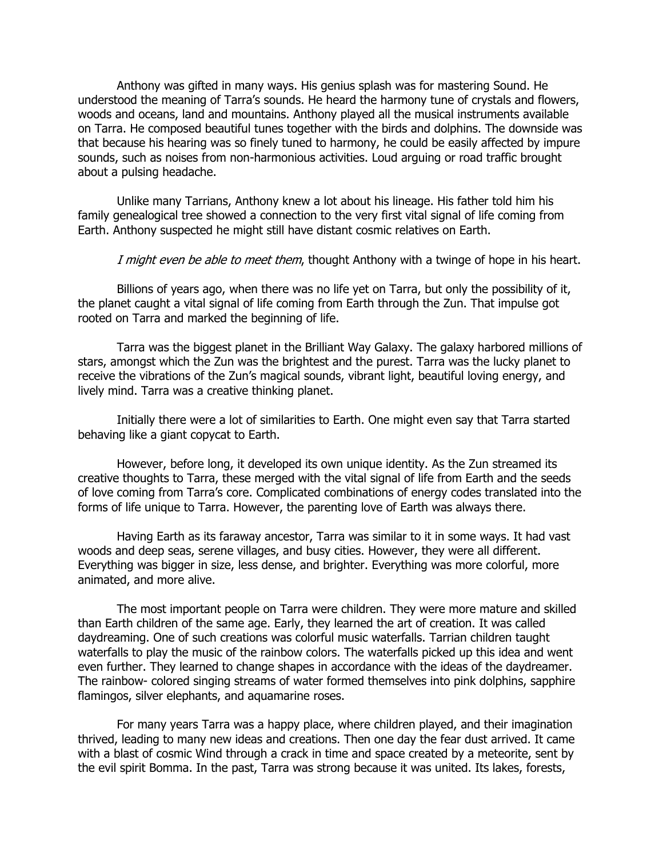Anthony was gifted in many ways. His genius splash was for mastering Sound. He understood the meaning of Tarra's sounds. He heard the harmony tune of crystals and flowers, woods and oceans, land and mountains. Anthony played all the musical instruments available on Tarra. He composed beautiful tunes together with the birds and dolphins. The downside was that because his hearing was so finely tuned to harmony, he could be easily affected by impure sounds, such as noises from non-harmonious activities. Loud arguing or road traffic brought about a pulsing headache.

Unlike many Tarrians, Anthony knew a lot about his lineage. His father told him his family genealogical tree showed a connection to the very first vital signal of life coming from Earth. Anthony suspected he might still have distant cosmic relatives on Earth.

I might even be able to meet them, thought Anthony with a twinge of hope in his heart.

Billions of years ago, when there was no life yet on Tarra, but only the possibility of it, the planet caught a vital signal of life coming from Earth through the Zun. That impulse got rooted on Tarra and marked the beginning of life.

Tarra was the biggest planet in the Brilliant Way Galaxy. The galaxy harbored millions of stars, amongst which the Zun was the brightest and the purest. Tarra was the lucky planet to receive the vibrations of the Zun's magical sounds, vibrant light, beautiful loving energy, and lively mind. Tarra was a creative thinking planet.

Initially there were a lot of similarities to Earth. One might even say that Tarra started behaving like a giant copycat to Earth.

However, before long, it developed its own unique identity. As the Zun streamed its creative thoughts to Tarra, these merged with the vital signal of life from Earth and the seeds of love coming from Tarra's core. Complicated combinations of energy codes translated into the forms of life unique to Tarra. However, the parenting love of Earth was always there.

Having Earth as its faraway ancestor, Tarra was similar to it in some ways. It had vast woods and deep seas, serene villages, and busy cities. However, they were all different. Everything was bigger in size, less dense, and brighter. Everything was more colorful, more animated, and more alive.

The most important people on Tarra were children. They were more mature and skilled than Earth children of the same age. Early, they learned the art of creation. It was called daydreaming. One of such creations was colorful music waterfalls. Tarrian children taught waterfalls to play the music of the rainbow colors. The waterfalls picked up this idea and went even further. They learned to change shapes in accordance with the ideas of the daydreamer. The rainbow- colored singing streams of water formed themselves into pink dolphins, sapphire flamingos, silver elephants, and aquamarine roses.

For many years Tarra was a happy place, where children played, and their imagination thrived, leading to many new ideas and creations. Then one day the fear dust arrived. It came with a blast of cosmic Wind through a crack in time and space created by a meteorite, sent by the evil spirit Bomma. In the past, Tarra was strong because it was united. Its lakes, forests,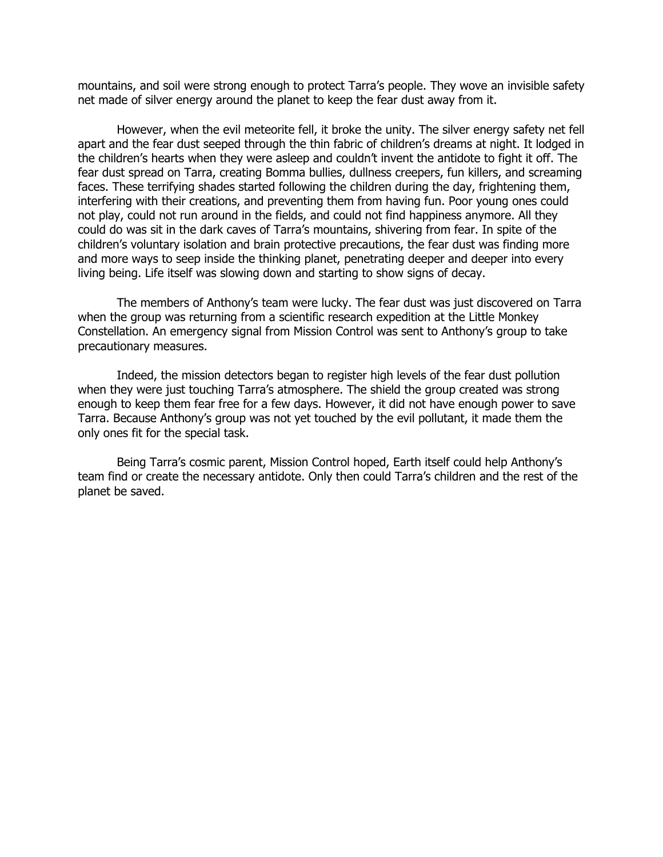mountains, and soil were strong enough to protect Tarra's people. They wove an invisible safety net made of silver energy around the planet to keep the fear dust away from it.

However, when the evil meteorite fell, it broke the unity. The silver energy safety net fell apart and the fear dust seeped through the thin fabric of children's dreams at night. It lodged in the children's hearts when they were asleep and couldn't invent the antidote to fight it off. The fear dust spread on Tarra, creating Bomma bullies, dullness creepers, fun killers, and screaming faces. These terrifying shades started following the children during the day, frightening them, interfering with their creations, and preventing them from having fun. Poor young ones could not play, could not run around in the fields, and could not find happiness anymore. All they could do was sit in the dark caves of Tarra's mountains, shivering from fear. In spite of the children's voluntary isolation and brain protective precautions, the fear dust was finding more and more ways to seep inside the thinking planet, penetrating deeper and deeper into every living being. Life itself was slowing down and starting to show signs of decay.

The members of Anthony's team were lucky. The fear dust was just discovered on Tarra when the group was returning from a scientific research expedition at the Little Monkey Constellation. An emergency signal from Mission Control was sent to Anthony's group to take precautionary measures.

Indeed, the mission detectors began to register high levels of the fear dust pollution when they were just touching Tarra's atmosphere. The shield the group created was strong enough to keep them fear free for a few days. However, it did not have enough power to save Tarra. Because Anthony's group was not yet touched by the evil pollutant, it made them the only ones fit for the special task.

Being Tarra's cosmic parent, Mission Control hoped, Earth itself could help Anthony's team find or create the necessary antidote. Only then could Tarra's children and the rest of the planet be saved.